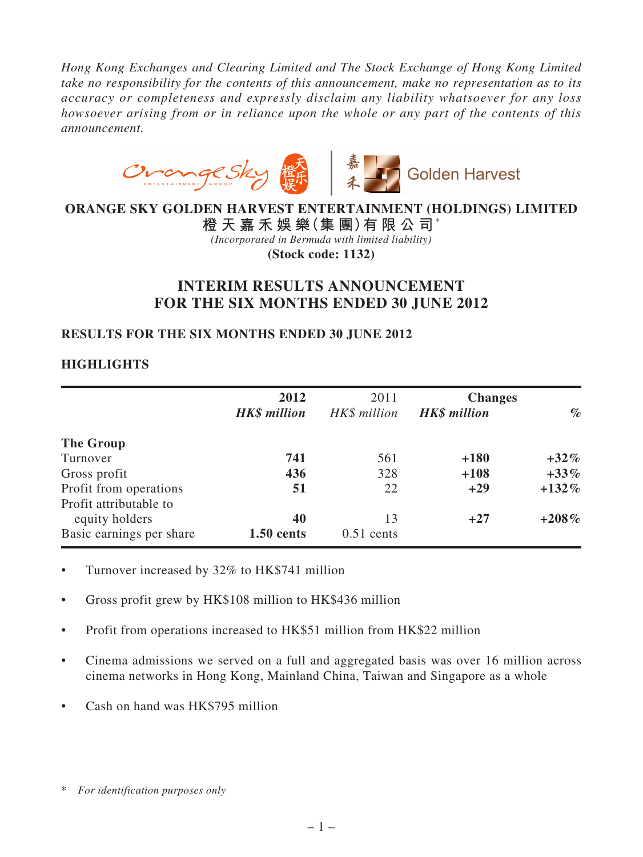*Hong Kong Exchanges and Clearing Limited and The Stock Exchange of Hong Kong Limited take no responsibility for the contents of this announcement, make no representation as to its accuracy or completeness and expressly disclaim any liability whatsoever for any loss howsoever arising from or in reliance upon the whole or any part of the contents of this announcement.*



### **ORANGE SKY GOLDEN HARVEST ENTERTAINMENT (HOLDINGS) LIMITED**

**橙 天 嘉 禾 娛 樂(集 團)有 限 公 司**\* *(Incorporated in Bermuda with limited liability)* **(Stock code: 1132)**

# **INTERIM RESULTS ANNOUNCEMENT FOR THE SIX MONTHS ENDED 30 JUNE 2012**

### **RESULTS FOR THE SIX MONTHS ENDED 30 JUNE 2012**

# **HIGHLIGHTS**

|                                          | 2012                | 2011         | <b>Changes</b>      |          |
|------------------------------------------|---------------------|--------------|---------------------|----------|
|                                          | <b>HK\$</b> million | HK\$ million | <b>HK\$</b> million | $\%$     |
| <b>The Group</b>                         |                     |              |                     |          |
| Turnover                                 | 741                 | 561          | $+180$              | $+32\%$  |
| Gross profit                             | 436                 | 328          | $+108$              | $+33\%$  |
| Profit from operations                   | 51                  | 22           | $+29$               | $+132\%$ |
| Profit attributable to<br>equity holders | 40                  | 13           | $+27$               | $+208\%$ |
| Basic earnings per share                 | $1.50$ cents        | $0.51$ cents |                     |          |

- Turnover increased by 32% to HK\$741 million
- Gross profit grew by HK\$108 million to HK\$436 million
- Profit from operations increased to HK\$51 million from HK\$22 million
- Cinema admissions we served on a full and aggregated basis was over 16 million across cinema networks in Hong Kong, Mainland China, Taiwan and Singapore as a whole
- Cash on hand was HK\$795 million

<sup>\*</sup> *For identification purposes only*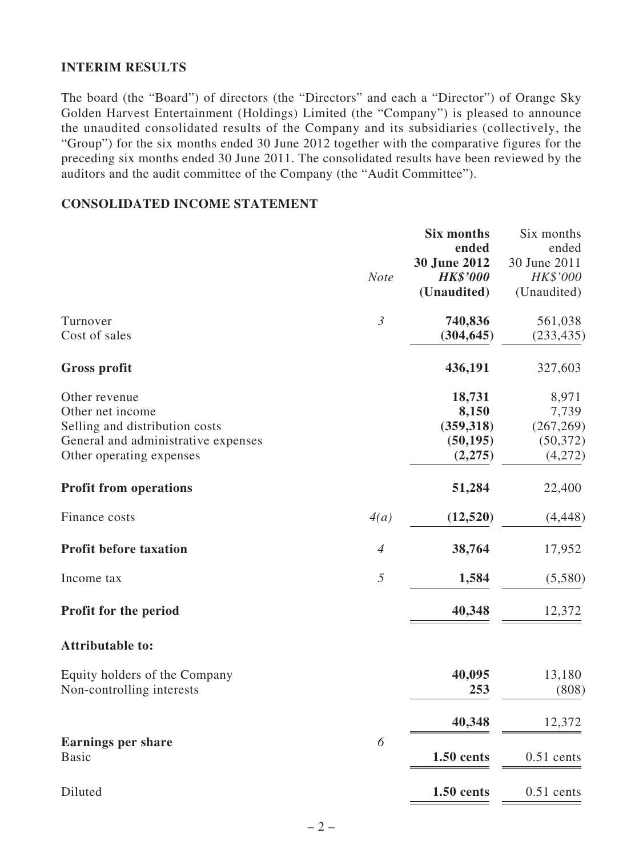### **INTERIM RESULTS**

The board (the "Board") of directors (the "Directors" and each a "Director") of Orange Sky Golden Harvest Entertainment (Holdings) Limited (the "Company") is pleased to announce the unaudited consolidated results of the Company and its subsidiaries (collectively, the "Group") for the six months ended 30 June 2012 together with the comparative figures for the preceding six months ended 30 June 2011. The consolidated results have been reviewed by the auditors and the audit committee of the Company (the "Audit Committee").

#### **CONSOLIDATED INCOME STATEMENT**

|                                           |                | <b>Six months</b> | Six months   |
|-------------------------------------------|----------------|-------------------|--------------|
|                                           |                | ended             | ended        |
|                                           |                | 30 June 2012      | 30 June 2011 |
|                                           | <b>Note</b>    | <b>HK\$'000</b>   | HK\$'000     |
|                                           |                | (Unaudited)       | (Unaudited)  |
| Turnover                                  | $\mathfrak{Z}$ | 740,836           | 561,038      |
| Cost of sales                             |                | (304, 645)        | (233, 435)   |
| <b>Gross profit</b>                       |                | 436,191           | 327,603      |
| Other revenue                             |                | 18,731            | 8,971        |
| Other net income                          |                | 8,150             | 7,739        |
| Selling and distribution costs            |                | (359, 318)        | (267, 269)   |
| General and administrative expenses       |                | (50, 195)         | (50, 372)    |
| Other operating expenses                  |                | (2,275)           | (4,272)      |
| <b>Profit from operations</b>             |                | 51,284            | 22,400       |
| Finance costs                             | 4(a)           | (12,520)          | (4, 448)     |
| <b>Profit before taxation</b>             | $\overline{4}$ | 38,764            | 17,952       |
| Income tax                                | 5              | 1,584             | (5,580)      |
| Profit for the period                     |                | 40,348            | 12,372       |
| <b>Attributable to:</b>                   |                |                   |              |
| Equity holders of the Company             |                | 40,095            | 13,180       |
| Non-controlling interests                 |                | 253               | (808)        |
|                                           |                | 40,348            | 12,372       |
| <b>Earnings per share</b><br><b>Basic</b> | 6              | 1.50 cents        | $0.51$ cents |
|                                           |                |                   |              |
| Diluted                                   |                | 1.50 cents        | $0.51$ cents |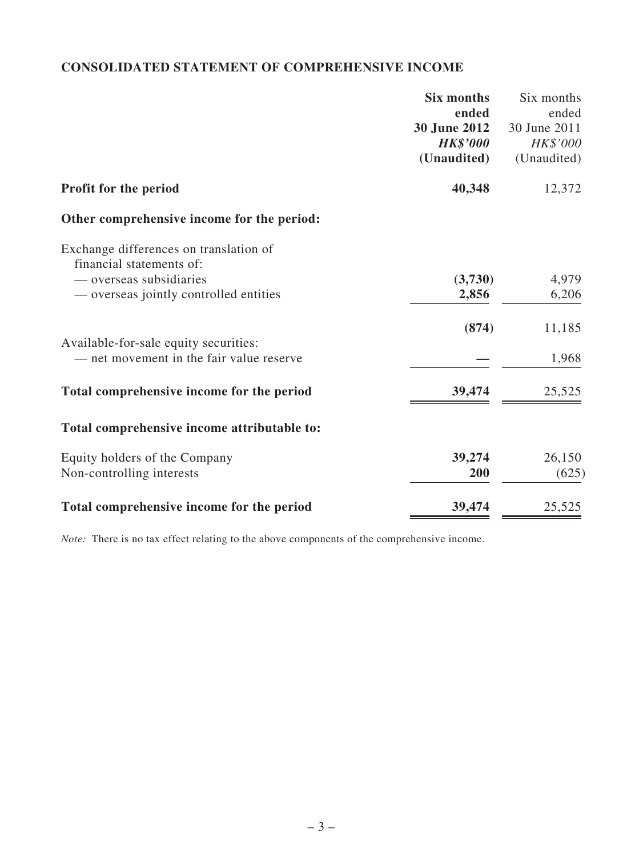# **CONSOLIDATED STATEMENT OF COMPREHENSIVE INCOME**

| ended<br>30 June 2012<br><b>HK\$'000</b><br>(Unaudited)<br>40,348<br>Profit for the period<br>Other comprehensive income for the period:<br>Exchange differences on translation of<br>financial statements of:<br>— overseas subsidiaries<br>(3,730)<br>2,856<br>— overseas jointly controlled entities<br>(874)<br>Available-for-sale equity securities:<br>— net movement in the fair value reserve<br>39,474<br>Total comprehensive income for the period<br>Total comprehensive income attributable to:<br>Equity holders of the Company<br>39,274<br>Non-controlling interests<br>200 | <b>Six months</b> | Six months   |
|--------------------------------------------------------------------------------------------------------------------------------------------------------------------------------------------------------------------------------------------------------------------------------------------------------------------------------------------------------------------------------------------------------------------------------------------------------------------------------------------------------------------------------------------------------------------------------------------|-------------------|--------------|
|                                                                                                                                                                                                                                                                                                                                                                                                                                                                                                                                                                                            |                   | ended        |
|                                                                                                                                                                                                                                                                                                                                                                                                                                                                                                                                                                                            |                   | 30 June 2011 |
|                                                                                                                                                                                                                                                                                                                                                                                                                                                                                                                                                                                            |                   | HK\$'000     |
|                                                                                                                                                                                                                                                                                                                                                                                                                                                                                                                                                                                            |                   | (Unaudited)  |
|                                                                                                                                                                                                                                                                                                                                                                                                                                                                                                                                                                                            |                   | 12,372       |
|                                                                                                                                                                                                                                                                                                                                                                                                                                                                                                                                                                                            |                   |              |
|                                                                                                                                                                                                                                                                                                                                                                                                                                                                                                                                                                                            |                   |              |
|                                                                                                                                                                                                                                                                                                                                                                                                                                                                                                                                                                                            |                   |              |
|                                                                                                                                                                                                                                                                                                                                                                                                                                                                                                                                                                                            |                   | 4,979        |
|                                                                                                                                                                                                                                                                                                                                                                                                                                                                                                                                                                                            |                   | 6,206        |
|                                                                                                                                                                                                                                                                                                                                                                                                                                                                                                                                                                                            |                   | 11,185       |
|                                                                                                                                                                                                                                                                                                                                                                                                                                                                                                                                                                                            |                   |              |
|                                                                                                                                                                                                                                                                                                                                                                                                                                                                                                                                                                                            |                   | 1,968        |
|                                                                                                                                                                                                                                                                                                                                                                                                                                                                                                                                                                                            |                   | 25,525       |
|                                                                                                                                                                                                                                                                                                                                                                                                                                                                                                                                                                                            |                   |              |
|                                                                                                                                                                                                                                                                                                                                                                                                                                                                                                                                                                                            |                   | 26,150       |
|                                                                                                                                                                                                                                                                                                                                                                                                                                                                                                                                                                                            |                   | (625)        |
| 39,474<br>Total comprehensive income for the period                                                                                                                                                                                                                                                                                                                                                                                                                                                                                                                                        |                   | 25,525       |

*Note:* There is no tax effect relating to the above components of the comprehensive income.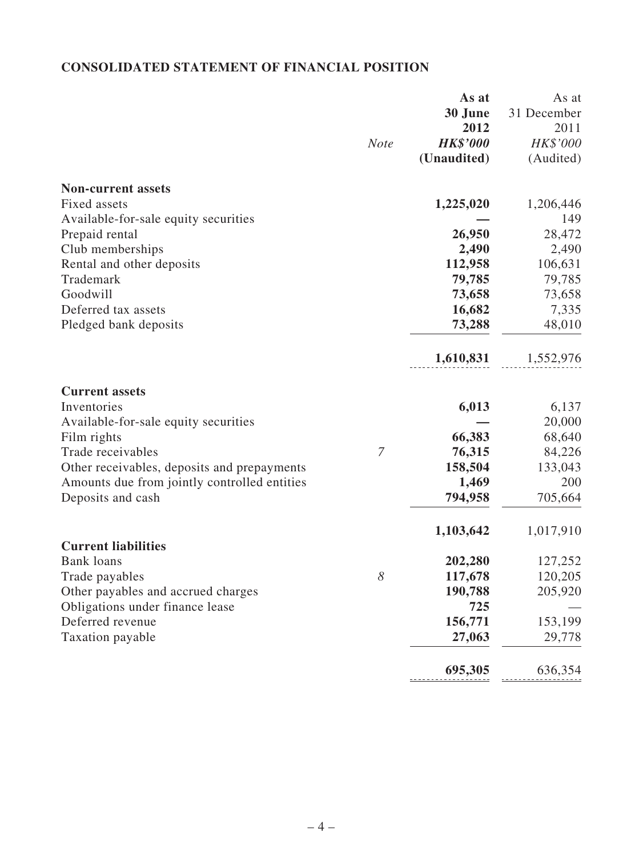# **CONSOLIDATED STATEMENT OF FINANCIAL POSITION**

|                                              |             | As at           | As at       |
|----------------------------------------------|-------------|-----------------|-------------|
|                                              |             | 30 June         | 31 December |
|                                              |             | 2012            | 2011        |
|                                              | <b>Note</b> | <b>HK\$'000</b> | HK\$'000    |
|                                              |             | (Unaudited)     | (Audited)   |
|                                              |             |                 |             |
| <b>Non-current assets</b>                    |             |                 |             |
| Fixed assets                                 |             | 1,225,020       | 1,206,446   |
| Available-for-sale equity securities         |             |                 | 149         |
| Prepaid rental                               |             | 26,950          | 28,472      |
| Club memberships                             |             | 2,490           | 2,490       |
| Rental and other deposits                    |             | 112,958         | 106,631     |
| Trademark                                    |             | 79,785          | 79,785      |
| Goodwill                                     |             | 73,658          | 73,658      |
| Deferred tax assets                          |             | 16,682          | 7,335       |
| Pledged bank deposits                        |             | 73,288          | 48,010      |
|                                              |             |                 |             |
|                                              |             | 1,610,831       | 1,552,976   |
|                                              |             |                 |             |
| <b>Current assets</b>                        |             |                 |             |
| Inventories                                  |             | 6,013           | 6,137       |
| Available-for-sale equity securities         |             |                 | 20,000      |
| Film rights                                  |             | 66,383          | 68,640      |
| Trade receivables                            | 7           | 76,315          | 84,226      |
| Other receivables, deposits and prepayments  |             | 158,504         | 133,043     |
| Amounts due from jointly controlled entities |             | 1,469           | 200         |
| Deposits and cash                            |             | 794,958         | 705,664     |
|                                              |             | 1,103,642       | 1,017,910   |
| <b>Current liabilities</b>                   |             |                 |             |
| <b>Bank</b> loans                            |             | 202,280         | 127,252     |
| Trade payables                               | 8           | 117,678         | 120,205     |
| Other payables and accrued charges           |             | 190,788         | 205,920     |
| Obligations under finance lease              |             | 725             |             |
| Deferred revenue                             |             | 156,771         | 153,199     |
| Taxation payable                             |             | 27,063          | 29,778      |
|                                              |             |                 |             |
|                                              |             | 695,305         | 636,354     |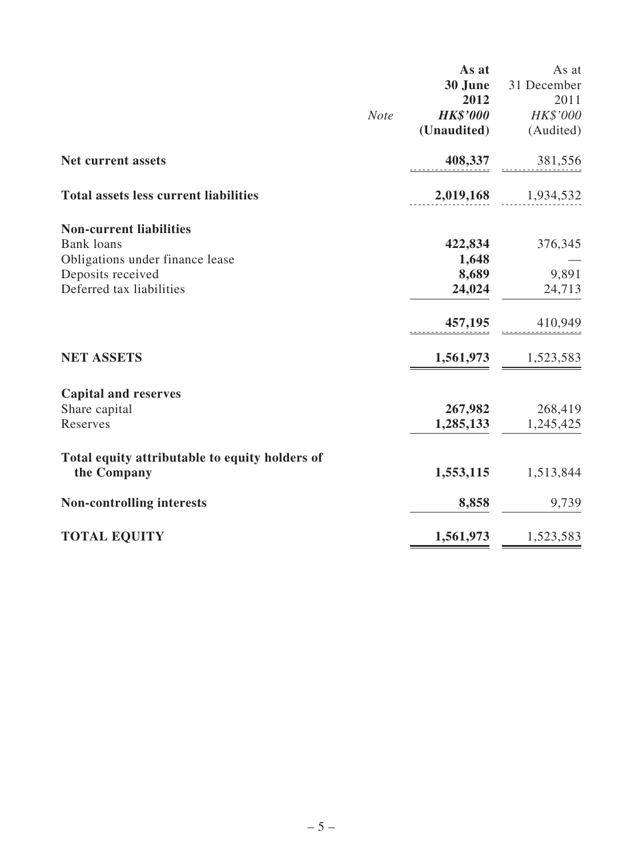|                                                |             | As at           | As at       |
|------------------------------------------------|-------------|-----------------|-------------|
|                                                |             | 30 June         | 31 December |
|                                                |             | 2012            | 2011        |
|                                                | <b>Note</b> | <b>HK\$'000</b> | HK\$'000    |
|                                                |             | (Unaudited)     | (Audited)   |
| <b>Net current assets</b>                      |             | 408,337         | 381,556     |
| <b>Total assets less current liabilities</b>   |             | 2,019,168       | 1,934,532   |
| <b>Non-current liabilities</b>                 |             |                 |             |
| <b>Bank</b> loans                              |             | 422,834         | 376,345     |
| Obligations under finance lease                |             | 1,648           |             |
| Deposits received                              |             | 8,689           | 9,891       |
| Deferred tax liabilities                       |             | 24,024          | 24,713      |
|                                                |             | 457,195         | 410,949     |
| <b>NET ASSETS</b>                              |             | 1,561,973       | 1,523,583   |
| <b>Capital and reserves</b>                    |             |                 |             |
| Share capital                                  |             | 267,982         | 268,419     |
| Reserves                                       |             | 1,285,133       | 1,245,425   |
| Total equity attributable to equity holders of |             |                 |             |
| the Company                                    |             | 1,553,115       | 1,513,844   |
| <b>Non-controlling interests</b>               |             | 8,858           | 9,739       |
| <b>TOTAL EQUITY</b>                            |             | 1,561,973       | 1,523,583   |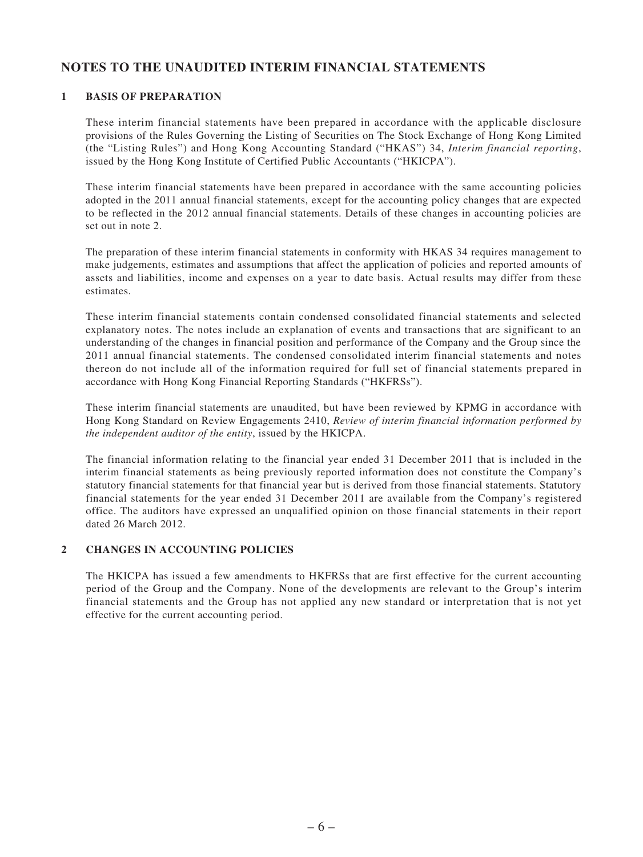### **NOTES TO THE UNAUDITED INTERIM FINANCIAL STATEMENTS**

#### **1 Basis of preparation**

These interim financial statements have been prepared in accordance with the applicable disclosure provisions of the Rules Governing the Listing of Securities on The Stock Exchange of Hong Kong Limited (the "Listing Rules") and Hong Kong Accounting Standard ("HKAS") 34, *Interim financial reporting*, issued by the Hong Kong Institute of Certified Public Accountants ("HKICPA").

These interim financial statements have been prepared in accordance with the same accounting policies adopted in the 2011 annual financial statements, except for the accounting policy changes that are expected to be reflected in the 2012 annual financial statements. Details of these changes in accounting policies are set out in note 2.

The preparation of these interim financial statements in conformity with HKAS 34 requires management to make judgements, estimates and assumptions that affect the application of policies and reported amounts of assets and liabilities, income and expenses on a year to date basis. Actual results may differ from these estimates.

These interim financial statements contain condensed consolidated financial statements and selected explanatory notes. The notes include an explanation of events and transactions that are significant to an understanding of the changes in financial position and performance of the Company and the Group since the 2011 annual financial statements. The condensed consolidated interim financial statements and notes thereon do not include all of the information required for full set of financial statements prepared in accordance with Hong Kong Financial Reporting Standards ("HKFRSs").

These interim financial statements are unaudited, but have been reviewed by KPMG in accordance with Hong Kong Standard on Review Engagements 2410, *Review of interim financial information performed by the independent auditor of the entity*, issued by the HKICPA.

The financial information relating to the financial year ended 31 December 2011 that is included in the interim financial statements as being previously reported information does not constitute the Company's statutory financial statements for that financial year but is derived from those financial statements. Statutory financial statements for the year ended 31 December 2011 are available from the Company's registered office. The auditors have expressed an unqualified opinion on those financial statements in their report dated 26 March 2012.

#### **2 Changes in accounting policies**

The HKICPA has issued a few amendments to HKFRSs that are first effective for the current accounting period of the Group and the Company. None of the developments are relevant to the Group's interim financial statements and the Group has not applied any new standard or interpretation that is not yet effective for the current accounting period.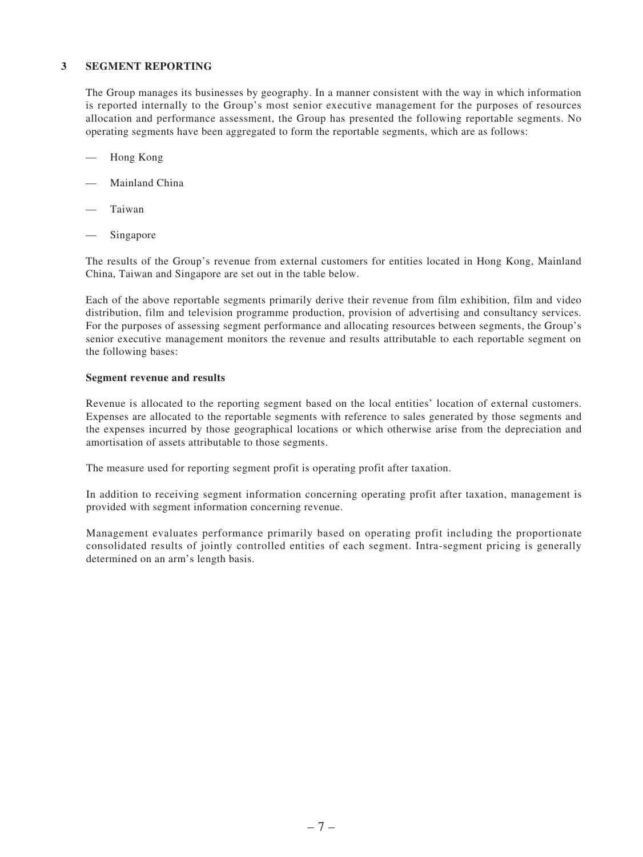#### **3 Segment reporting**

The Group manages its businesses by geography. In a manner consistent with the way in which information is reported internally to the Group's most senior executive management for the purposes of resources allocation and performance assessment, the Group has presented the following reportable segments. No operating segments have been aggregated to form the reportable segments, which are as follows:

- Hong Kong
- Mainland China
- **Taiwan**
- Singapore

The results of the Group's revenue from external customers for entities located in Hong Kong, Mainland China, Taiwan and Singapore are set out in the table below.

Each of the above reportable segments primarily derive their revenue from film exhibition, film and video distribution, film and television programme production, provision of advertising and consultancy services. For the purposes of assessing segment performance and allocating resources between segments, the Group's senior executive management monitors the revenue and results attributable to each reportable segment on the following bases:

#### **Segment revenue and results**

Revenue is allocated to the reporting segment based on the local entities' location of external customers. Expenses are allocated to the reportable segments with reference to sales generated by those segments and the expenses incurred by those geographical locations or which otherwise arise from the depreciation and amortisation of assets attributable to those segments.

The measure used for reporting segment profit is operating profit after taxation.

In addition to receiving segment information concerning operating profit after taxation, management is provided with segment information concerning revenue.

Management evaluates performance primarily based on operating profit including the proportionate consolidated results of jointly controlled entities of each segment. Intra-segment pricing is generally determined on an arm's length basis.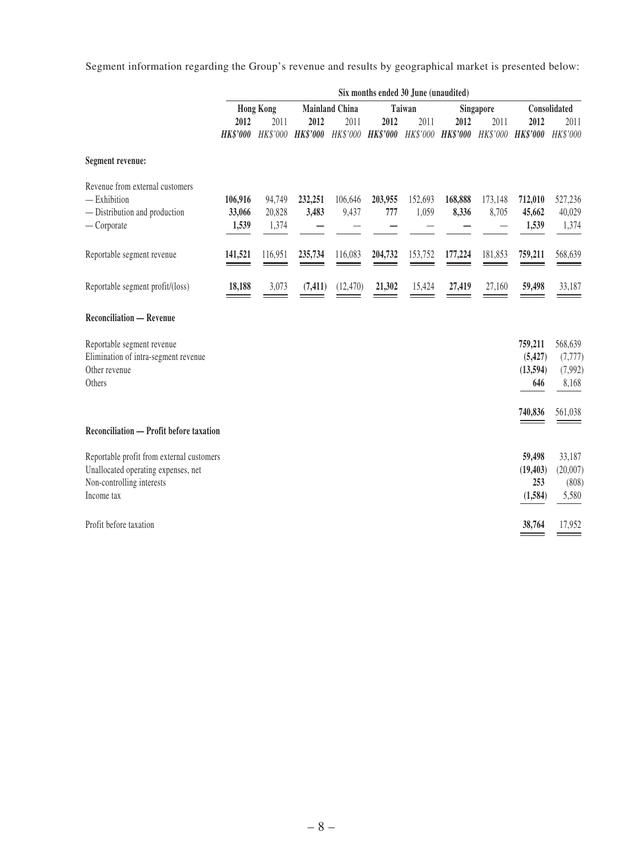Segment information regarding the Group's revenue and results by geographical market is presented below:

|                                                                                                                             | Six months ended 30 June (unaudited) |                           |                         |                       |                |                                  |                  |                                     |                                        |                                         |
|-----------------------------------------------------------------------------------------------------------------------------|--------------------------------------|---------------------------|-------------------------|-----------------------|----------------|----------------------------------|------------------|-------------------------------------|----------------------------------------|-----------------------------------------|
|                                                                                                                             |                                      | <b>Hong Kong</b>          |                         | <b>Mainland China</b> | Taiwan         |                                  | Singapore        |                                     |                                        | Consolidated                            |
|                                                                                                                             | 2012<br><b>HK\$'000</b>              | 2011<br>HK\$'000          | 2012<br><b>HK\$'000</b> | 2011<br>HK\$'000      | 2012           | 2011<br><b>HK\$'000</b> HK\$'000 | 2012             | 2011<br>HK\$'000 HK\$'000           | 2012<br><b>HK\$'000</b>                | 2011<br>HK\$'000                        |
| Segment revenue:                                                                                                            |                                      |                           |                         |                       |                |                                  |                  |                                     |                                        |                                         |
| Revenue from external customers<br>$-$ Exhibition<br>- Distribution and production<br>$-$ Corporate                         | 106,916<br>33,066<br>1,539           | 94,749<br>20,828<br>1,374 | 232,251<br>3,483        | 106,646<br>9,437      | 203,955<br>777 | 152,693<br>1,059                 | 168,888<br>8,336 | 173,148<br>8,705<br>$\qquad \qquad$ | 712,010<br>45,662<br>1,539             | 527,236<br>40,029<br>1,374              |
| Reportable segment revenue                                                                                                  | 141,521<br>$\overline{\phantom{a}}$  | 116,951                   | 235,734                 | 116,083               | 204,732        | 153,752                          | 177,224          | 181,853                             | 759,211                                | 568,639                                 |
| Reportable segment profit/(loss)                                                                                            | 18,188                               | 3,073                     | (7, 411)                | (12, 470)             | 21,302         | 15,424                           | 27,419           | 27,160                              | 59,498                                 | 33,187                                  |
| <b>Reconciliation — Revenue</b>                                                                                             |                                      |                           |                         |                       |                |                                  |                  |                                     |                                        |                                         |
| Reportable segment revenue<br>Elimination of intra-segment revenue<br>Other revenue<br>Others                               |                                      |                           |                         |                       |                |                                  |                  |                                     | 759,211<br>(5, 427)<br>(13,594)<br>646 | 568,639<br>(7, 777)<br>(7,992)<br>8,168 |
| Reconciliation - Profit before taxation                                                                                     |                                      |                           |                         |                       |                |                                  |                  |                                     | 740,836                                | 561,038                                 |
| Reportable profit from external customers<br>Unallocated operating expenses, net<br>Non-controlling interests<br>Income tax |                                      |                           |                         |                       |                |                                  |                  |                                     | 59,498<br>(19, 403)<br>253<br>(1,584)  | 33,187<br>(20,007)<br>(808)<br>5,580    |
| Profit before taxation                                                                                                      |                                      |                           |                         |                       |                |                                  |                  |                                     | 38,764                                 | 17,952                                  |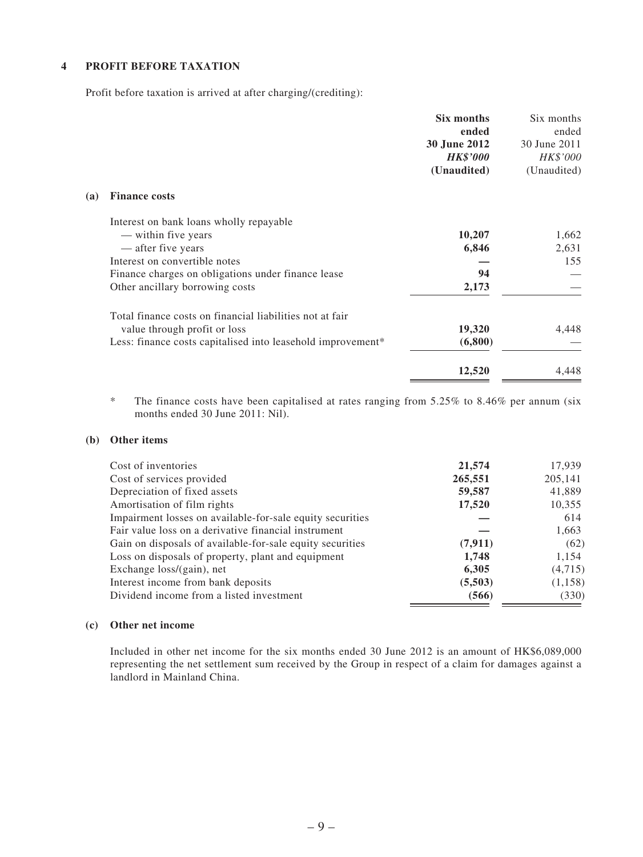#### **4 Profit before taxation**

Profit before taxation is arrived at after charging/(crediting):

| Six months                                                             | Six months   |
|------------------------------------------------------------------------|--------------|
| ended                                                                  | ended        |
| 30 June 2012                                                           | 30 June 2011 |
| <b>HK\$'000</b>                                                        | HK\$'000     |
| (Unaudited)                                                            | (Unaudited)  |
|                                                                        |              |
|                                                                        |              |
| 10,207                                                                 | 1,662        |
| 6,846                                                                  | 2,631        |
|                                                                        | 155          |
| 94                                                                     |              |
| 2,173                                                                  |              |
|                                                                        |              |
|                                                                        | 4,448        |
| (6,800)<br>Less: finance costs capitalised into leasehold improvement* |              |
| 12,520                                                                 | 4,448        |
|                                                                        | 19,320       |

\* The finance costs have been capitalised at rates ranging from 5.25% to 8.46% per annum (six months ended 30 June 2011: Nil).

#### **(b) Other items**

| Cost of inventories                                       | 21,574  | 17,939  |
|-----------------------------------------------------------|---------|---------|
| Cost of services provided                                 | 265,551 | 205,141 |
| Depreciation of fixed assets                              | 59,587  | 41,889  |
| Amortisation of film rights                               | 17,520  | 10,355  |
| Impairment losses on available-for-sale equity securities |         | 614     |
| Fair value loss on a derivative financial instrument      |         | 1,663   |
| Gain on disposals of available-for-sale equity securities | (7,911) | (62)    |
| Loss on disposals of property, plant and equipment        | 1,748   | 1,154   |
| Exchange loss/(gain), net                                 | 6,305   | (4,715) |
| Interest income from bank deposits                        | (5,503) | (1,158) |
| Dividend income from a listed investment                  | (566)   | (330)   |

#### **(c) Other net income**

Included in other net income for the six months ended 30 June 2012 is an amount of HK\$6,089,000 representing the net settlement sum received by the Group in respect of a claim for damages against a landlord in Mainland China.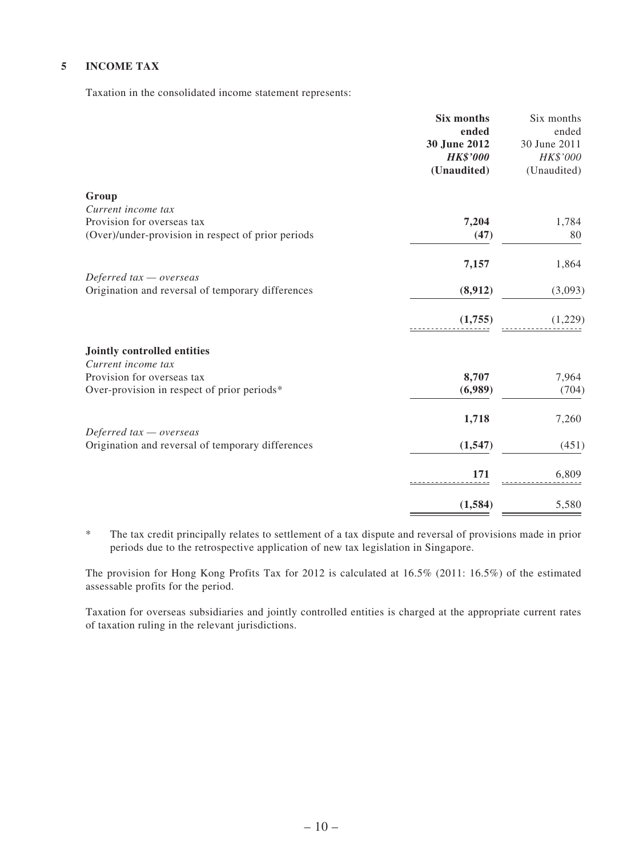#### **5 Income tax**

Taxation in the consolidated income statement represents:

|                                                    | Six months                      | Six months               |
|----------------------------------------------------|---------------------------------|--------------------------|
|                                                    | ended                           | ended                    |
|                                                    | 30 June 2012<br><b>HK\$'000</b> | 30 June 2011<br>HK\$'000 |
|                                                    | (Unaudited)                     | (Unaudited)              |
| Group                                              |                                 |                          |
| Current income tax                                 |                                 |                          |
| Provision for overseas tax                         | 7,204                           | 1,784                    |
| (Over)/under-provision in respect of prior periods | (47)                            | 80                       |
|                                                    | 7,157                           | 1,864                    |
| Deferred $tax -overse$                             |                                 |                          |
| Origination and reversal of temporary differences  | (8,912)                         | (3,093)                  |
|                                                    | (1,755)                         | (1,229)                  |
| Jointly controlled entities                        |                                 |                          |
| Current income tax                                 |                                 |                          |
| Provision for overseas tax                         | 8,707                           | 7,964                    |
| Over-provision in respect of prior periods*        | (6,989)                         | (704)                    |
|                                                    | 1,718                           | 7,260                    |
| Deferred $tax -overse$                             |                                 |                          |
| Origination and reversal of temporary differences  | (1, 547)                        | (451)                    |
|                                                    | 171                             | 6,809                    |
|                                                    | (1, 584)                        | 5,580                    |

\* The tax credit principally relates to settlement of a tax dispute and reversal of provisions made in prior periods due to the retrospective application of new tax legislation in Singapore.

The provision for Hong Kong Profits Tax for 2012 is calculated at 16.5% (2011: 16.5%) of the estimated assessable profits for the period.

Taxation for overseas subsidiaries and jointly controlled entities is charged at the appropriate current rates of taxation ruling in the relevant jurisdictions.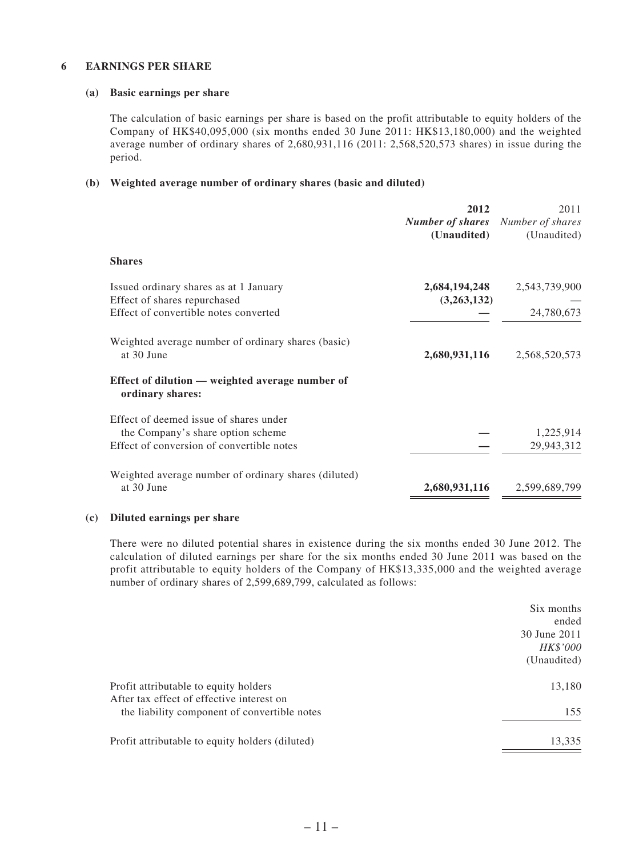#### **6 Earnings per share**

#### **(a) Basic earnings per share**

The calculation of basic earnings per share is based on the profit attributable to equity holders of the Company of HK\$40,095,000 (six months ended 30 June 2011: HK\$13,180,000) and the weighted average number of ordinary shares of 2,680,931,116 (2011: 2,568,520,573 shares) in issue during the period.

#### **(b) Weighted average number of ordinary shares (basic and diluted)**

|                                                                                                                          | 2012<br><b>Number of shares</b> Number of shares<br>(Unaudited) | 2011<br>(Unaudited)         |
|--------------------------------------------------------------------------------------------------------------------------|-----------------------------------------------------------------|-----------------------------|
| <b>Shares</b>                                                                                                            |                                                                 |                             |
| Issued ordinary shares as at 1 January<br>Effect of shares repurchased<br>Effect of convertible notes converted          | 2,684,194,248<br>(3,263,132)                                    | 2,543,739,900<br>24,780,673 |
| Weighted average number of ordinary shares (basic)<br>at 30 June                                                         | 2,680,931,116                                                   | 2,568,520,573               |
| Effect of dilution — weighted average number of<br>ordinary shares:                                                      |                                                                 |                             |
| Effect of deemed issue of shares under<br>the Company's share option scheme<br>Effect of conversion of convertible notes |                                                                 | 1,225,914<br>29,943,312     |
| Weighted average number of ordinary shares (diluted)<br>at 30 June                                                       | 2,680,931,116                                                   | 2,599,689,799               |

#### **(c) Diluted earnings per share**

There were no diluted potential shares in existence during the six months ended 30 June 2012. The calculation of diluted earnings per share for the six months ended 30 June 2011 was based on the profit attributable to equity holders of the Company of HK\$13,335,000 and the weighted average number of ordinary shares of 2,599,689,799, calculated as follows:

| Six months      |
|-----------------|
| ended           |
| 30 June 2011    |
| <i>HK\$'000</i> |
| (Unaudited)     |
| 13,180          |
|                 |
| 155             |
| 13,335          |
|                 |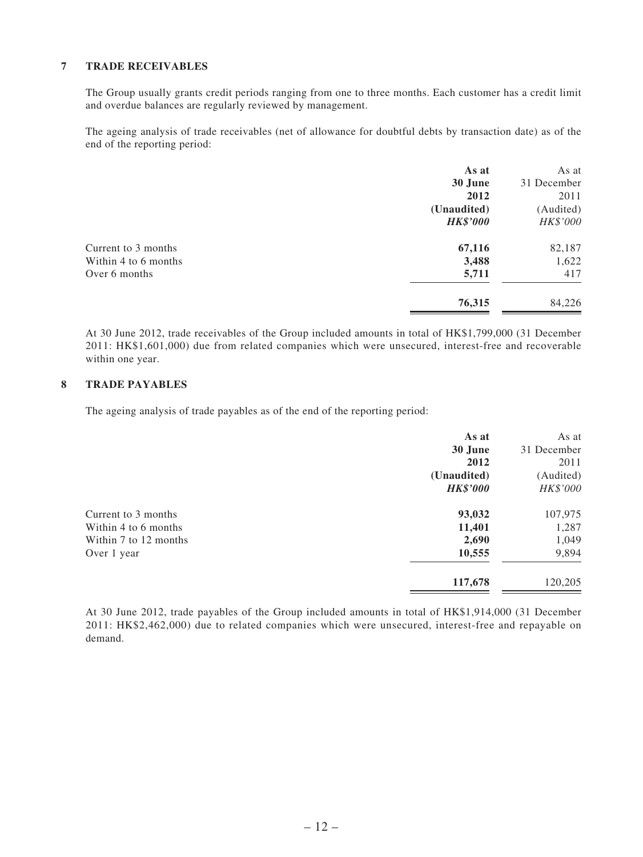#### **7 Trade receivables**

The Group usually grants credit periods ranging from one to three months. Each customer has a credit limit and overdue balances are regularly reviewed by management.

The ageing analysis of trade receivables (net of allowance for doubtful debts by transaction date) as of the end of the reporting period:

| As at           | As at       |
|-----------------|-------------|
| 30 June         | 31 December |
| 2012            | 2011        |
| (Unaudited)     | (Audited)   |
| <b>HK\$'000</b> | HK\$'000    |
| 67,116          | 82,187      |
| 3,488           | 1,622       |
| 5,711           | 417         |
| 76,315          | 84,226      |
|                 |             |

At 30 June 2012, trade receivables of the Group included amounts in total of HK\$1,799,000 (31 December 2011: HK\$1,601,000) due from related companies which were unsecured, interest-free and recoverable within one year.

#### **8 Trade payables**

The ageing analysis of trade payables as of the end of the reporting period:

|                       | As at           | As at       |
|-----------------------|-----------------|-------------|
|                       | 30 June         | 31 December |
|                       | 2012            | 2011        |
|                       | (Unaudited)     | (Audited)   |
|                       | <b>HK\$'000</b> | HK\$'000    |
| Current to 3 months   | 93,032          | 107,975     |
| Within 4 to 6 months  | 11,401          | 1,287       |
| Within 7 to 12 months | 2,690           | 1,049       |
| Over 1 year           | 10,555          | 9,894       |
|                       | 117,678         | 120,205     |

At 30 June 2012, trade payables of the Group included amounts in total of HK\$1,914,000 (31 December 2011: HK\$2,462,000) due to related companies which were unsecured, interest-free and repayable on demand.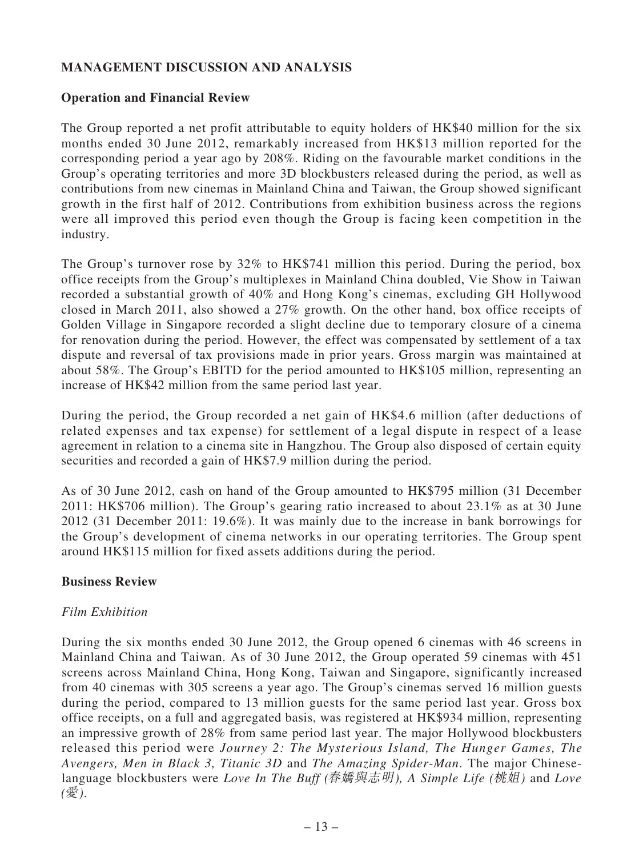# **MANAGEMENT DISCUSSION AND ANALYSIS**

#### **Operation and Financial Review**

The Group reported a net profit attributable to equity holders of HK\$40 million for the six months ended 30 June 2012, remarkably increased from HK\$13 million reported for the corresponding period a year ago by 208%. Riding on the favourable market conditions in the Group's operating territories and more 3D blockbusters released during the period, as well as contributions from new cinemas in Mainland China and Taiwan, the Group showed significant growth in the first half of 2012. Contributions from exhibition business across the regions were all improved this period even though the Group is facing keen competition in the industry.

The Group's turnover rose by 32% to HK\$741 million this period. During the period, box office receipts from the Group's multiplexes in Mainland China doubled, Vie Show in Taiwan recorded a substantial growth of 40% and Hong Kong's cinemas, excluding GH Hollywood closed in March 2011, also showed a 27% growth. On the other hand, box office receipts of Golden Village in Singapore recorded a slight decline due to temporary closure of a cinema for renovation during the period. However, the effect was compensated by settlement of a tax dispute and reversal of tax provisions made in prior years. Gross margin was maintained at about 58%. The Group's EBITD for the period amounted to HK\$105 million, representing an increase of HK\$42 million from the same period last year.

During the period, the Group recorded a net gain of HK\$4.6 million (after deductions of related expenses and tax expense) for settlement of a legal dispute in respect of a lease agreement in relation to a cinema site in Hangzhou. The Group also disposed of certain equity securities and recorded a gain of HK\$7.9 million during the period.

As of 30 June 2012, cash on hand of the Group amounted to HK\$795 million (31 December 2011: HK\$706 million). The Group's gearing ratio increased to about 23.1% as at 30 June 2012 (31 December 2011: 19.6%). It was mainly due to the increase in bank borrowings for the Group's development of cinema networks in our operating territories. The Group spent around HK\$115 million for fixed assets additions during the period.

### **Business Review**

#### *Film Exhibition*

During the six months ended 30 June 2012, the Group opened 6 cinemas with 46 screens in Mainland China and Taiwan. As of 30 June 2012, the Group operated 59 cinemas with 451 screens across Mainland China, Hong Kong, Taiwan and Singapore, significantly increased from 40 cinemas with 305 screens a year ago. The Group's cinemas served 16 million guests during the period, compared to 13 million guests for the same period last year. Gross box office receipts, on a full and aggregated basis, was registered at HK\$934 million, representing an impressive growth of 28% from same period last year. The major Hollywood blockbusters released this period were *Journey 2: The Mysterious Island, The Hunger Games, The Avengers, Men in Black 3, Titanic 3D* and *The Amazing Spider-Man*. The major Chineselanguage blockbusters were *Love In The Buff (*春嬌與志明*), A Simple Life (*桃姐*)* and *Love (*愛*)*.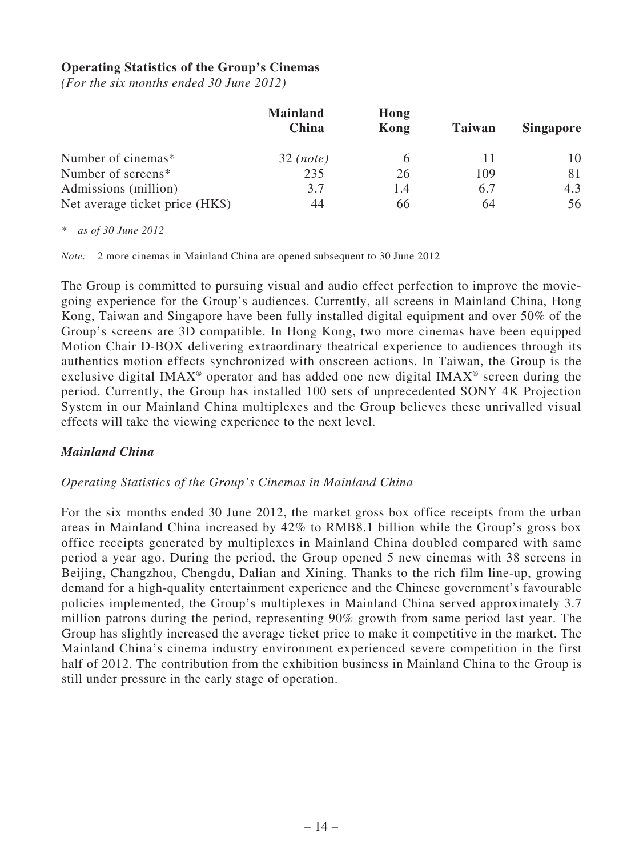#### **Operating Statistics of the Group's Cinemas**

*(For the six months ended 30 June 2012)*

|                                 | <b>Mainland</b><br>China | Hong<br>Kong | <b>Taiwan</b> | <b>Singapore</b> |
|---------------------------------|--------------------------|--------------|---------------|------------------|
| Number of cinemas*              | $32 \; (note)$           | 6            | 11            | 10               |
| Number of screens*              | 235                      | 26           | 109           | 81               |
| Admissions (million)            | 3.7                      | 1.4          | 6.7           | 4.3              |
| Net average ticket price (HK\$) | 44                       | 66           | 64            | 56               |

*\* as of 30 June 2012*

*Note:* 2 more cinemas in Mainland China are opened subsequent to 30 June 2012

The Group is committed to pursuing visual and audio effect perfection to improve the moviegoing experience for the Group's audiences. Currently, all screens in Mainland China, Hong Kong, Taiwan and Singapore have been fully installed digital equipment and over 50% of the Group's screens are 3D compatible. In Hong Kong, two more cinemas have been equipped Motion Chair D-BOX delivering extraordinary theatrical experience to audiences through its authentics motion effects synchronized with onscreen actions. In Taiwan, the Group is the exclusive digital IMAX® operator and has added one new digital IMAX® screen during the period. Currently, the Group has installed 100 sets of unprecedented SONY 4K Projection System in our Mainland China multiplexes and the Group believes these unrivalled visual effects will take the viewing experience to the next level.

### *Mainland China*

#### *Operating Statistics of the Group's Cinemas in Mainland China*

For the six months ended 30 June 2012, the market gross box office receipts from the urban areas in Mainland China increased by 42% to RMB8.1 billion while the Group's gross box office receipts generated by multiplexes in Mainland China doubled compared with same period a year ago. During the period, the Group opened 5 new cinemas with 38 screens in Beijing, Changzhou, Chengdu, Dalian and Xining. Thanks to the rich film line-up, growing demand for a high-quality entertainment experience and the Chinese government's favourable policies implemented, the Group's multiplexes in Mainland China served approximately 3.7 million patrons during the period, representing 90% growth from same period last year. The Group has slightly increased the average ticket price to make it competitive in the market. The Mainland China's cinema industry environment experienced severe competition in the first half of 2012. The contribution from the exhibition business in Mainland China to the Group is still under pressure in the early stage of operation.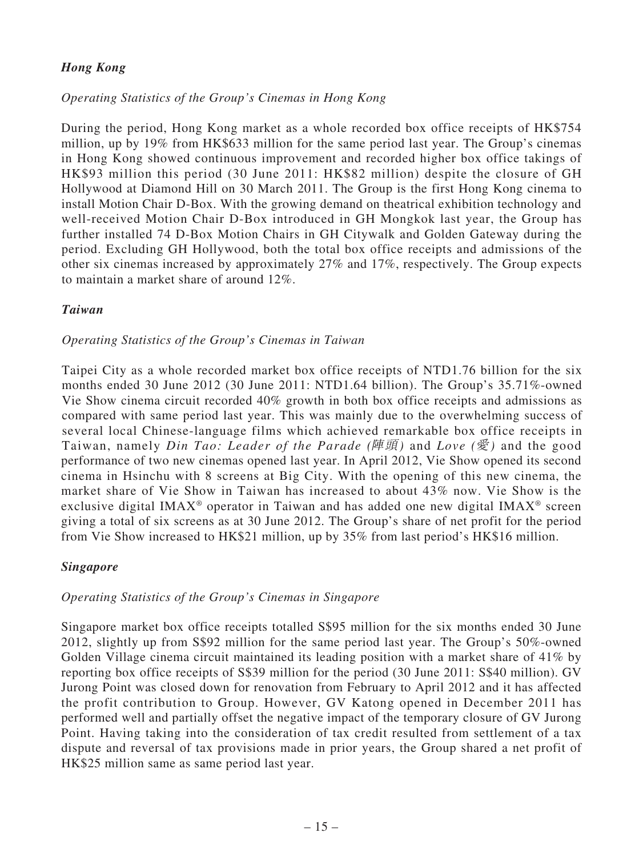# *Hong Kong*

### *Operating Statistics of the Group's Cinemas in Hong Kong*

During the period, Hong Kong market as a whole recorded box office receipts of HK\$754 million, up by 19% from HK\$633 million for the same period last year. The Group's cinemas in Hong Kong showed continuous improvement and recorded higher box office takings of HK\$93 million this period (30 June 2011: HK\$82 million) despite the closure of GH Hollywood at Diamond Hill on 30 March 2011. The Group is the first Hong Kong cinema to install Motion Chair D-Box. With the growing demand on theatrical exhibition technology and well-received Motion Chair D-Box introduced in GH Mongkok last year, the Group has further installed 74 D-Box Motion Chairs in GH Citywalk and Golden Gateway during the period. Excluding GH Hollywood, both the total box office receipts and admissions of the other six cinemas increased by approximately 27% and 17%, respectively. The Group expects to maintain a market share of around 12%.

#### *Taiwan*

#### *Operating Statistics of the Group's Cinemas in Taiwan*

Taipei City as a whole recorded market box office receipts of NTD1.76 billion for the six months ended 30 June 2012 (30 June 2011: NTD1.64 billion). The Group's 35.71%-owned Vie Show cinema circuit recorded 40% growth in both box office receipts and admissions as compared with same period last year. This was mainly due to the overwhelming success of several local Chinese-language films which achieved remarkable box office receipts in Taiwan, namely *Din Tao: Leader of the Parade (*陣頭*)* and *Love (*愛*)* and the good performance of two new cinemas opened last year. In April 2012, Vie Show opened its second cinema in Hsinchu with 8 screens at Big City. With the opening of this new cinema, the market share of Vie Show in Taiwan has increased to about 43% now. Vie Show is the exclusive digital IMAX® operator in Taiwan and has added one new digital IMAX® screen giving a total of six screens as at 30 June 2012. The Group's share of net profit for the period from Vie Show increased to HK\$21 million, up by 35% from last period's HK\$16 million.

### *Singapore*

### *Operating Statistics of the Group's Cinemas in Singapore*

Singapore market box office receipts totalled S\$95 million for the six months ended 30 June 2012, slightly up from S\$92 million for the same period last year. The Group's 50%-owned Golden Village cinema circuit maintained its leading position with a market share of 41% by reporting box office receipts of S\$39 million for the period (30 June 2011: S\$40 million). GV Jurong Point was closed down for renovation from February to April 2012 and it has affected the profit contribution to Group. However, GV Katong opened in December 2011 has performed well and partially offset the negative impact of the temporary closure of GV Jurong Point. Having taking into the consideration of tax credit resulted from settlement of a tax dispute and reversal of tax provisions made in prior years, the Group shared a net profit of HK\$25 million same as same period last year.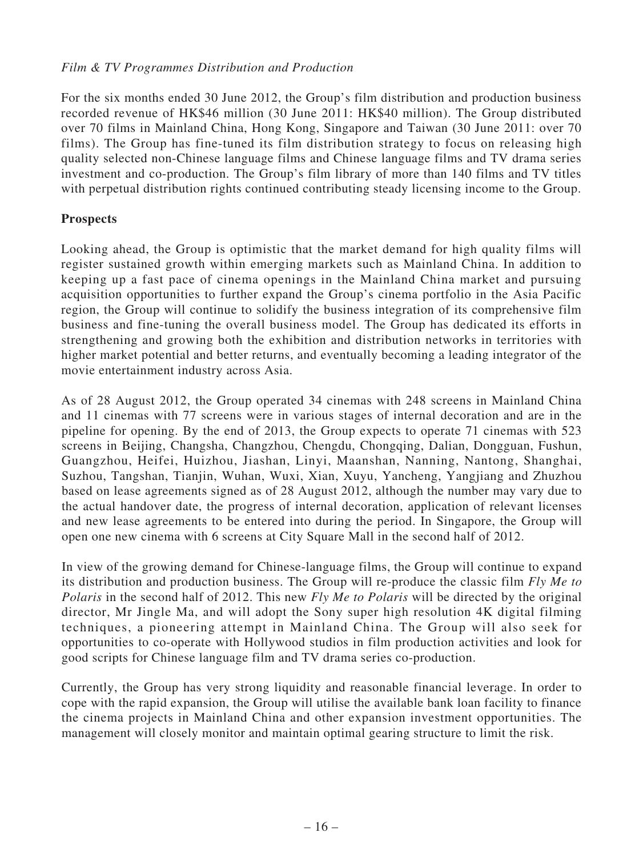### *Film & TV Programmes Distribution and Production*

For the six months ended 30 June 2012, the Group's film distribution and production business recorded revenue of HK\$46 million (30 June 2011: HK\$40 million). The Group distributed over 70 films in Mainland China, Hong Kong, Singapore and Taiwan (30 June 2011: over 70 films). The Group has fine-tuned its film distribution strategy to focus on releasing high quality selected non-Chinese language films and Chinese language films and TV drama series investment and co-production. The Group's film library of more than 140 films and TV titles with perpetual distribution rights continued contributing steady licensing income to the Group.

### **Prospects**

Looking ahead, the Group is optimistic that the market demand for high quality films will register sustained growth within emerging markets such as Mainland China. In addition to keeping up a fast pace of cinema openings in the Mainland China market and pursuing acquisition opportunities to further expand the Group's cinema portfolio in the Asia Pacific region, the Group will continue to solidify the business integration of its comprehensive film business and fine-tuning the overall business model. The Group has dedicated its efforts in strengthening and growing both the exhibition and distribution networks in territories with higher market potential and better returns, and eventually becoming a leading integrator of the movie entertainment industry across Asia.

As of 28 August 2012, the Group operated 34 cinemas with 248 screens in Mainland China and 11 cinemas with 77 screens were in various stages of internal decoration and are in the pipeline for opening. By the end of 2013, the Group expects to operate 71 cinemas with 523 screens in Beijing, Changsha, Changzhou, Chengdu, Chongqing, Dalian, Dongguan, Fushun, Guangzhou, Heifei, Huizhou, Jiashan, Linyi, Maanshan, Nanning, Nantong, Shanghai, Suzhou, Tangshan, Tianjin, Wuhan, Wuxi, Xian, Xuyu, Yancheng, Yangjiang and Zhuzhou based on lease agreements signed as of 28 August 2012, although the number may vary due to the actual handover date, the progress of internal decoration, application of relevant licenses and new lease agreements to be entered into during the period. In Singapore, the Group will open one new cinema with 6 screens at City Square Mall in the second half of 2012.

In view of the growing demand for Chinese-language films, the Group will continue to expand its distribution and production business. The Group will re-produce the classic film *Fly Me to Polaris* in the second half of 2012. This new *Fly Me to Polaris* will be directed by the original director, Mr Jingle Ma, and will adopt the Sony super high resolution 4K digital filming techniques, a pioneering attempt in Mainland China. The Group will also seek for opportunities to co-operate with Hollywood studios in film production activities and look for good scripts for Chinese language film and TV drama series co-production.

Currently, the Group has very strong liquidity and reasonable financial leverage. In order to cope with the rapid expansion, the Group will utilise the available bank loan facility to finance the cinema projects in Mainland China and other expansion investment opportunities. The management will closely monitor and maintain optimal gearing structure to limit the risk.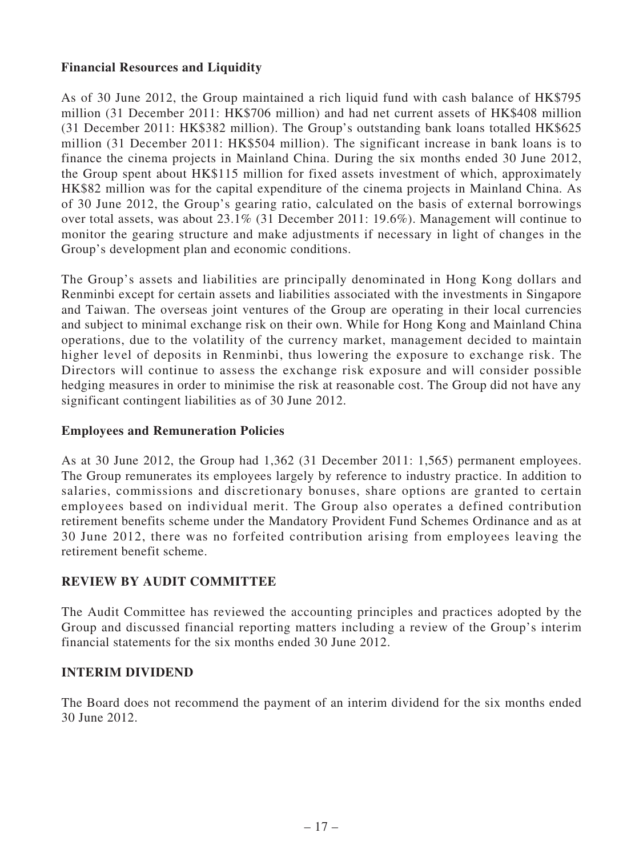# **Financial Resources and Liquidity**

As of 30 June 2012, the Group maintained a rich liquid fund with cash balance of HK\$795 million (31 December 2011: HK\$706 million) and had net current assets of HK\$408 million (31 December 2011: HK\$382 million). The Group's outstanding bank loans totalled HK\$625 million (31 December 2011: HK\$504 million). The significant increase in bank loans is to finance the cinema projects in Mainland China. During the six months ended 30 June 2012, the Group spent about HK\$115 million for fixed assets investment of which, approximately HK\$82 million was for the capital expenditure of the cinema projects in Mainland China. As of 30 June 2012, the Group's gearing ratio, calculated on the basis of external borrowings over total assets, was about 23.1% (31 December 2011: 19.6%). Management will continue to monitor the gearing structure and make adjustments if necessary in light of changes in the Group's development plan and economic conditions.

The Group's assets and liabilities are principally denominated in Hong Kong dollars and Renminbi except for certain assets and liabilities associated with the investments in Singapore and Taiwan. The overseas joint ventures of the Group are operating in their local currencies and subject to minimal exchange risk on their own. While for Hong Kong and Mainland China operations, due to the volatility of the currency market, management decided to maintain higher level of deposits in Renminbi, thus lowering the exposure to exchange risk. The Directors will continue to assess the exchange risk exposure and will consider possible hedging measures in order to minimise the risk at reasonable cost. The Group did not have any significant contingent liabilities as of 30 June 2012.

### **Employees and Remuneration Policies**

As at 30 June 2012, the Group had 1,362 (31 December 2011: 1,565) permanent employees. The Group remunerates its employees largely by reference to industry practice. In addition to salaries, commissions and discretionary bonuses, share options are granted to certain employees based on individual merit. The Group also operates a defined contribution retirement benefits scheme under the Mandatory Provident Fund Schemes Ordinance and as at 30 June 2012, there was no forfeited contribution arising from employees leaving the retirement benefit scheme.

### **REVIEW BY AUDIT COMMITTEE**

The Audit Committee has reviewed the accounting principles and practices adopted by the Group and discussed financial reporting matters including a review of the Group's interim financial statements for the six months ended 30 June 2012.

### **INTERIM DIVIDEND**

The Board does not recommend the payment of an interim dividend for the six months ended 30 June 2012.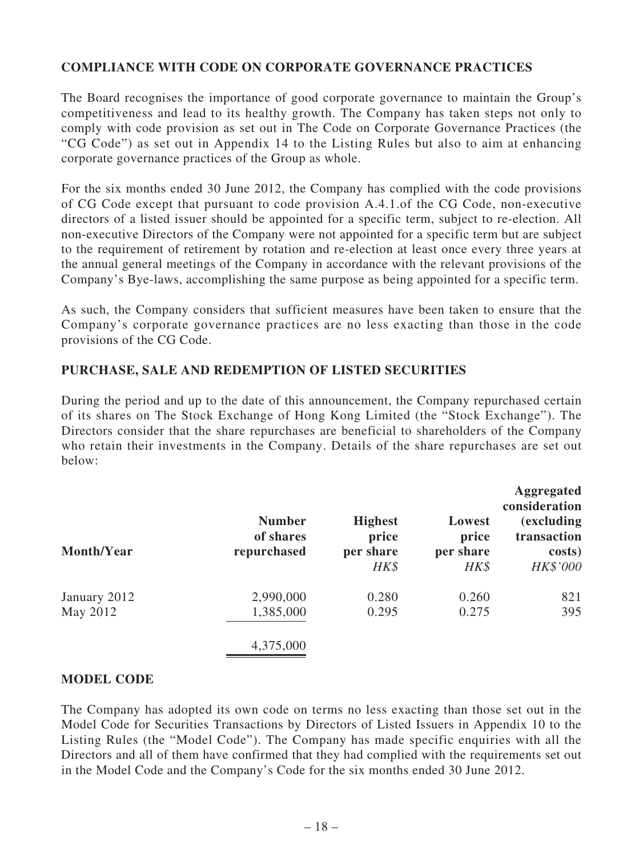### **COMPLIANCE WITH CODE ON CORPORATE GOVERNANCE PRACTICES**

The Board recognises the importance of good corporate governance to maintain the Group's competitiveness and lead to its healthy growth. The Company has taken steps not only to comply with code provision as set out in The Code on Corporate Governance Practices (the "CG Code") as set out in Appendix 14 to the Listing Rules but also to aim at enhancing corporate governance practices of the Group as whole.

For the six months ended 30 June 2012, the Company has complied with the code provisions of CG Code except that pursuant to code provision A.4.1.of the CG Code, non-executive directors of a listed issuer should be appointed for a specific term, subject to re-election. All non-executive Directors of the Company were not appointed for a specific term but are subject to the requirement of retirement by rotation and re-election at least once every three years at the annual general meetings of the Company in accordance with the relevant provisions of the Company's Bye-laws, accomplishing the same purpose as being appointed for a specific term.

As such, the Company considers that sufficient measures have been taken to ensure that the Company's corporate governance practices are no less exacting than those in the code provisions of the CG Code.

#### **PURCHASE, SALE AND REDEMPTION OF LISTED SECURITIES**

During the period and up to the date of this announcement, the Company repurchased certain of its shares on The Stock Exchange of Hong Kong Limited (the "Stock Exchange"). The Directors consider that the share repurchases are beneficial to shareholders of the Company who retain their investments in the Company. Details of the share repurchases are set out below:

| Month/Year   | <b>Number</b><br>of shares<br>repurchased | <b>Highest</b><br>price<br>per share<br>HK\$ | Lowest<br>price<br>per share<br>HK\$ | <b>Aggregated</b><br>consideration<br><i>(excluding)</i><br>transaction<br>costs)<br>HK\$'000 |
|--------------|-------------------------------------------|----------------------------------------------|--------------------------------------|-----------------------------------------------------------------------------------------------|
| January 2012 | 2,990,000                                 | 0.280                                        | 0.260                                | 821                                                                                           |
| May 2012     | 1,385,000                                 | 0.295                                        | 0.275                                | 395                                                                                           |
|              | 4,375,000                                 |                                              |                                      |                                                                                               |

### **MODEL CODE**

The Company has adopted its own code on terms no less exacting than those set out in the Model Code for Securities Transactions by Directors of Listed Issuers in Appendix 10 to the Listing Rules (the "Model Code"). The Company has made specific enquiries with all the Directors and all of them have confirmed that they had complied with the requirements set out in the Model Code and the Company's Code for the six months ended 30 June 2012.